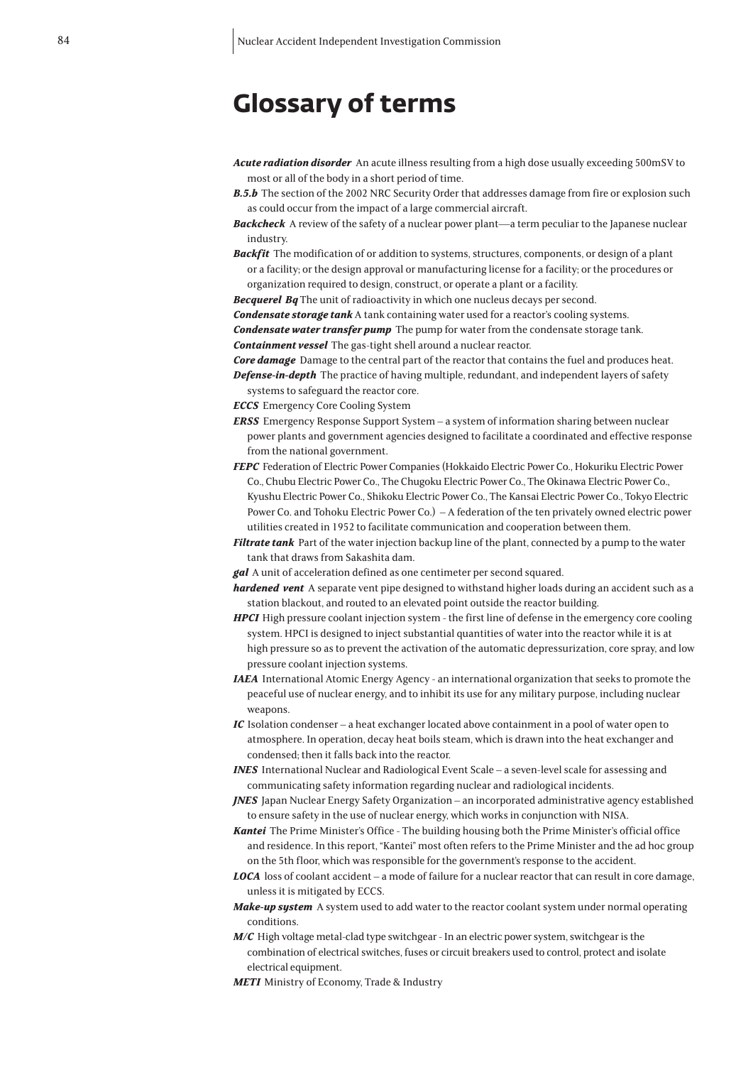## **Glossary of terms**

- *Acute radiation disorder* An acute illness resulting from a high dose usually exceeding 500mSV to most or all of the body in a short period of time.
- **B.5.b** The section of the 2002 NRC Security Order that addresses damage from fire or explosion such as could occur from the impact of a large commercial aircraft.
- *Backcheck* A review of the safety of a nuclear power plant—a term peculiar to the Japanese nuclear industry.
- *Backfit* The modification of or addition to systems, structures, components, or design of a plant or a facility; or the design approval or manufacturing license for a facility; or the procedures or organization required to design, construct, or operate a plant or a facility.

*Becquerel Bq* The unit of radioactivity in which one nucleus decays per second.

*Condensate storage tank* A tank containing water used for a reactor's cooling systems.

*Condensate water transfer pump* The pump for water from the condensate storage tank. *Containment vessel* The gas-tight shell around a nuclear reactor.

*Core damage* Damage to the central part of the reactor that contains the fuel and produces heat. *Defense-in-depth* The practice of having multiple, redundant, and independent layers of safety

- systems to safeguard the reactor core.
- *ECCS* Emergency Core Cooling System
- *ERSS* Emergency Response Support System a system of information sharing between nuclear power plants and government agencies designed to facilitate a coordinated and effective response from the national government.
- **FEPC** Federation of Electric Power Companies (Hokkaido Electric Power Co., Hokuriku Electric Power Co., Chubu Electric Power Co., The Chugoku Electric Power Co., The Okinawa Electric Power Co., Kyushu Electric Power Co., Shikoku Electric Power Co., The Kansai Electric Power Co., Tokyo Electric Power Co. and Tohoku Electric Power Co.) – A federation of the ten privately owned electric power utilities created in 1952 to facilitate communication and cooperation between them.
- *Filtrate tank* Part of the water injection backup line of the plant, connected by a pump to the water tank that draws from Sakashita dam.
- *gal* A unit of acceleration defined as one centimeter per second squared.
- *hardened vent* A separate vent pipe designed to withstand higher loads during an accident such as a station blackout, and routed to an elevated point outside the reactor building.
- *HPCI* High pressure coolant injection system the first line of defense in the emergency core cooling system. HPCI is designed to inject substantial quantities of water into the reactor while it is at high pressure so as to prevent the activation of the automatic depressurization, core spray, and low pressure coolant injection systems.
- *IAEA* International Atomic Energy Agency an international organization that seeks to promote the peaceful use of nuclear energy, and to inhibit its use for any military purpose, including nuclear weapons.
- *IC* Isolation condenser a heat exchanger located above containment in a pool of water open to atmosphere. In operation, decay heat boils steam, which is drawn into the heat exchanger and condensed; then it falls back into the reactor.
- *INES* International Nuclear and Radiological Event Scale a seven-level scale for assessing and communicating safety information regarding nuclear and radiological incidents.
- *JNES* Japan Nuclear Energy Safety Organization an incorporated administrative agency established to ensure safety in the use of nuclear energy, which works in conjunction with NISA.
- *Kantei* The Prime Minister's Office The building housing both the Prime Minister's official office and residence. In this report, "Kantei" most often refers to the Prime Minister and the ad hoc group on the 5th floor, which was responsible for the government's response to the accident.
- *LOCA* loss of coolant accident a mode of failure for a nuclear reactor that can result in core damage, unless it is mitigated by ECCS.
- *Make-up system* A system used to add water to the reactor coolant system under normal operating conditions.
- *M/C* High voltage metal-clad type switchgear In an electric power system, switchgear is the combination of electrical switches, fuses or circuit breakers used to control, protect and isolate electrical equipment.
- *METI* Ministry of Economy, Trade & Industry